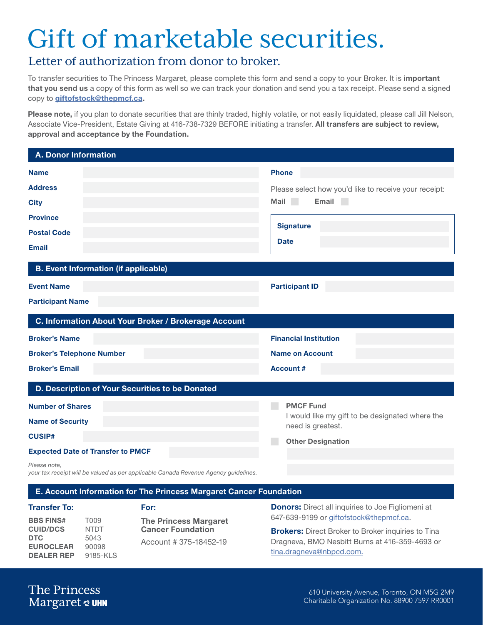# Gift of marketable securities.

### Letter of authorization from donor to broker.

To transfer securities to The Princess Margaret, please complete this form and send a copy to your Broker. It is important that you send us a copy of this form as well so we can track your donation and send you a tax receipt. Please send a signed copy to [giftofstock@thepmcf.ca.](mailto:giftofstock@thepmcf.ca)

Please note, if you plan to donate securities that are thinly traded, highly volatile, or not easily liquidated, please call Jill Nelson, Associate Vice-President, Estate Giving at 416-738-7329 BEFORE initiating a transfer. All transfers are subject to review, approval and acceptance by the Foundation.

| <b>A. Donor Information</b>                          |                                                                      |
|------------------------------------------------------|----------------------------------------------------------------------|
| <b>Name</b>                                          | <b>Phone</b>                                                         |
| <b>Address</b>                                       | Please select how you'd like to receive your receipt:                |
| <b>City</b>                                          | Mail<br>Email<br><b>College</b>                                      |
| <b>Province</b>                                      |                                                                      |
| <b>Postal Code</b>                                   | <b>Signature</b>                                                     |
| <b>Email</b>                                         | <b>Date</b>                                                          |
| <b>B. Event Information (if applicable)</b>          |                                                                      |
| <b>Event Name</b>                                    | <b>Participant ID</b>                                                |
| <b>Participant Name</b>                              |                                                                      |
| C. Information About Your Broker / Brokerage Account |                                                                      |
| <b>Broker's Name</b>                                 | <b>Financial Institution</b>                                         |
| <b>Broker's Telephone Number</b>                     | <b>Name on Account</b>                                               |
| <b>Broker's Email</b>                                | <b>Account#</b>                                                      |
| D. Description of Your Securities to be Donated      |                                                                      |
| <b>Number of Shares</b>                              | <b>PMCF Fund</b>                                                     |
| <b>Name of Security</b>                              | I would like my gift to be designated where the<br>need is greatest. |
| <b>CUSIP#</b>                                        | <b>Other Designation</b>                                             |
| <b>Expected Date of Transfer to PMCF</b>             |                                                                      |
| Please note,                                         |                                                                      |

*your tax receipt will be valued as per applicable Canada Revenue Agency guidelines.*

#### E. Account Information for The Princess Margaret Cancer Foundation

#### BBS FINS# T009 CUID/DCS NTDT **DTC** 5043 EUROCLEAR 90098 DEALER REP 9185-KLS

The Princess Margaret Cancer Foundation Account # 375-18452-19

**Transfer To:** For: For: For: **For: Donors:** Direct all inquiries to Joe Figliomeni at 647-639-9199 or [giftofstock@thepmcf.ca.](mailto:giftofstock@thepmcf.ca)

> **Brokers:** Direct Broker to Broker inquiries to Tina Dragneva, BMO Nesbitt Burns at 416-359-4693 or [tina.dragneva@nbpcd.com.](mailto:tina.dragneva@nbpcd.com)

The Princess Margaret & UHN